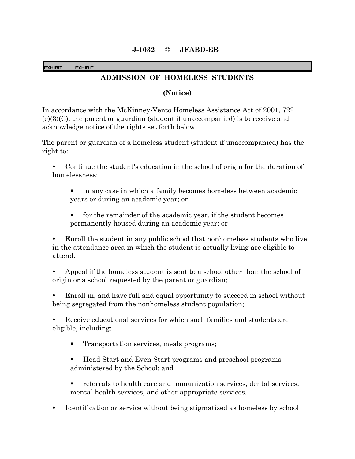## **EXHIBIT EXHIBIT**

## **ADMISSION OF HOMELESS STUDENTS**

## **(Notice)**

In accordance with the McKinney-Vento Homeless Assistance Act of 2001, 722  $(e)(3)(C)$ , the parent or guardian (student if unaccompanied) is to receive and acknowledge notice of the rights set forth below.

The parent or guardian of a homeless student (student if unaccompanied) has the right to:

 Continue the student's education in the school of origin for the duration of homelessness:

- in any case in which a family becomes homeless between academic years or during an academic year; or
- for the remainder of the academic year, if the student becomes permanently housed during an academic year; or

 Enroll the student in any public school that nonhomeless students who live in the attendance area in which the student is actually living are eligible to attend.

 Appeal if the homeless student is sent to a school other than the school of origin or a school requested by the parent or guardian;

 Enroll in, and have full and equal opportunity to succeed in school without being segregated from the nonhomeless student population;

 Receive educational services for which such families and students are eligible, including:

- **Transportation services, meals programs;**
- Head Start and Even Start programs and preschool programs administered by the School; and
- referrals to health care and immunization services, dental services, mental health services, and other appropriate services.
- Identification or service without being stigmatized as homeless by school